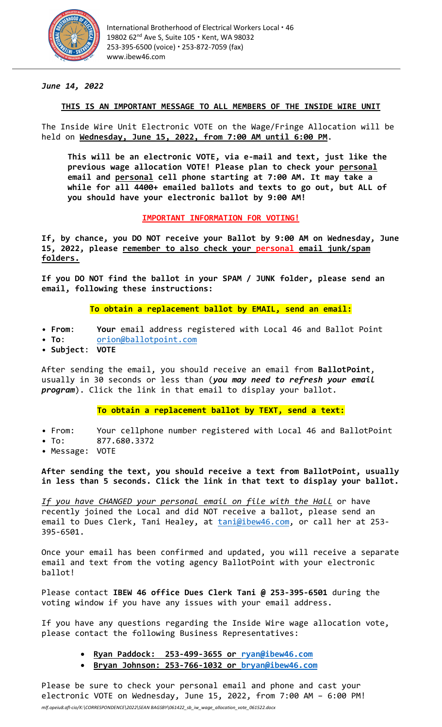

## *June 14, 2022*

#### **THIS IS AN IMPORTANT MESSAGE TO ALL MEMBERS OF THE INSIDE WIRE UNIT**

The Inside Wire Unit Electronic VOTE on the Wage/Fringe Allocation will be held on **Wednesday, June 15, 2022, from 7:00 AM until 6:00 PM**.

**This will be an electronic VOTE, via e-mail and text, just like the previous wage allocation VOTE! Please plan to check your personal email and personal cell phone starting at 7:00 AM. It may take a while for all 4400+ emailed ballots and texts to go out, but ALL of you should have your electronic ballot by 9:00 AM!**

#### **IMPORTANT INFORMATION FOR VOTING!**

**If, by chance, you DO NOT receive your Ballot by 9:00 AM on Wednesday, June 15, 2022, please remember to also check your personal email junk/spam folders.**

**If you DO NOT find the ballot in your SPAM / JUNK folder, please send an email, following these instructions:**

# **To obtain a replacement ballot by EMAIL, send an email:**

- **From**: **Your** email address registered with Local 46 and Ballot Point
- **To**: [orion@ballotpoint.com](mailto:orion@ballotpoint.com)
- **Subject**: **VOTE**

After sending the email, you should receive an email from **BallotPoint**, usually in 30 seconds or less than (*you may need to refresh your email program*). Click the link in that email to display your ballot.

### **To obtain a replacement ballot by TEXT, send a text:**

- From: Your cellphone number registered with Local 46 and BallotPoint
- To: 877.680.3372
- Message: VOTE

**After sending the text, you should receive a text from BallotPoint, usually in less than 5 seconds. Click the link in that text to display your ballot.**

*If you have CHANGED your personal email on file with the Hall* or have recently joined the Local and did NOT receive a ballot, please send an email to Dues Clerk, Tani Healey, at [tani@ibew46.com,](mailto:tani@ibew46.com) or call her at 253-395-6501.

Once your email has been confirmed and updated, you will receive a separate email and text from the voting agency BallotPoint with your electronic ballot!

Please contact **IBEW 46 office Dues Clerk Tani @ 253-395-6501** during the voting window if you have any issues with your email address.

If you have any questions regarding the Inside Wire wage allocation vote, please contact the following Business Representatives:

- **Ryan Paddock: 253-499-3655 or [ryan@ibew46.com](mailto:ryan@ibew46.com)**
- **Bryan Johnson: 253-766-1032 or [bryan@ibew46.com](mailto:bryan@ibew46.com)**

Please be sure to check your personal email and phone and cast your electronic VOTE on Wednesday, June 15, 2022, from 7:00 AM – 6:00 PM!